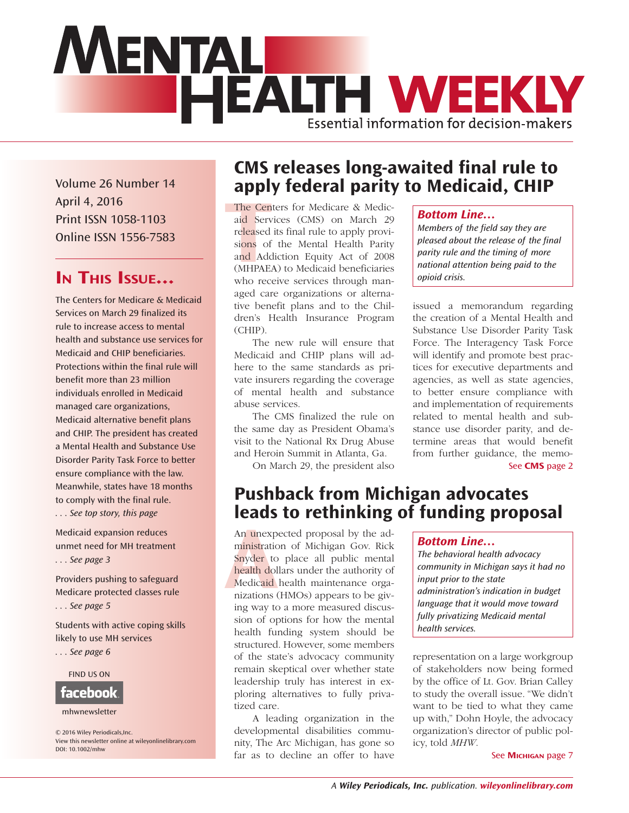# MENTAL **HEALTH WEEKLY** Essential information for decision-makers

Print ISSN 1058-1103 Online ISSN 1556-7583 Volume 26 Number 14 April 4, 2016

### **In This Issue…**

The Centers for Medicare & Medicaid Services on March 29 finalized its rule to increase access to mental health and substance use services for Medicaid and CHIP beneficiaries. Protections within the final rule will benefit more than 23 million individuals enrolled in Medicaid managed care organizations, Medicaid alternative benefit plans and CHIP. The president has created a Mental Health and Substance Use Disorder Parity Task Force to better ensure compliance with the law. Meanwhile, states have 18 months to comply with the final rule. *. . . See top story, this page*

Medicaid expansion reduces unmet need for MH treatment *. . . See page 3*

Providers pushing to safeguard Medicare protected classes rule

*. . . See page 5*

Students with active coping skills likely to use MH services

*. . . See page 6*

FIND US ON



mhwnewsletter

© 2016 Wiley Periodicals,Inc. View this newsletter online at wileyonlinelibrary.com DOI: 10.1002/mhw

### **CMS releases long-awaited final rule to apply federal parity to Medicaid, CHIP**

The Central<br>
aid Serv<br>
released<br>
sions of<br>
and Add<br>
(MHPAE,<br>
who recent The Centers for Medicare & Medicaid Services (CMS) on March 29 re<mark>lea</mark>sed its final rule to apply provisions of the Mental Health Parity and Addiction Equity Act of 2008 (MHPAEA) to Medicaid beneficiaries who receive services through managed care organizations or alternative benefit plans and to the Children's Health Insurance Program (CHIP).

The new rule will ensure that Medicaid and CHIP plans will adhere to the same standards as private insurers regarding the coverage of mental health and substance abuse services.

The CMS finalized the rule on the same day as President Obama's visit to the National Rx Drug Abuse and Heroin Summit in Atlanta, Ga.

On March 29, the president also

### *Bottom Line…*

*Members of the field say they are pleased about the release of the final parity rule and the timing of more national attention being paid to the opioid crisis.*

issued a memorandum regarding the creation of a Mental Health and Substance Use Disorder Parity Task Force. The Interagency Task Force will identify and promote best practices for executive departments and agencies, as well as state agencies, to better ensure compliance with and implementation of requirements related to mental health and substance use disorder parity, and determine areas that would benefit from further guidance, the memo-See **CMS** page 2

## **Pushback from Michigan advocates leads to rethinking of funding proposal**

An unexp<br>ministratic<br>Snyder to<br>health dol<br>Medicaid<br>nizations (in way to An unexpected proposal by the administration of Michigan Gov. Rick Snyder to place all public mental health dollars under the authority of Medicaid health maintenance organizations (HMOs) appears to be giving way to a more measured discussion of options for how the mental health funding system should be structured. However, some members of the state's advocacy community remain skeptical over whether state leadership truly has interest in exploring alternatives to fully privatized care.

A leading organization in the developmental disabilities community, The Arc Michigan, has gone so far as to decline an offer to have

### *Bottom Line…*

*The behavioral health advocacy community in Michigan says it had no input prior to the state administration's indication in budget language that it would move toward fully privatizing Medicaid mental health services.*

representation on a large workgroup of stakeholders now being formed by the office of Lt. Gov. Brian Calley to study the overall issue. "We didn't want to be tied to what they came up with," Dohn Hoyle, the advocacy organization's director of public policy, told *MHW*.

See **Michigan** page 7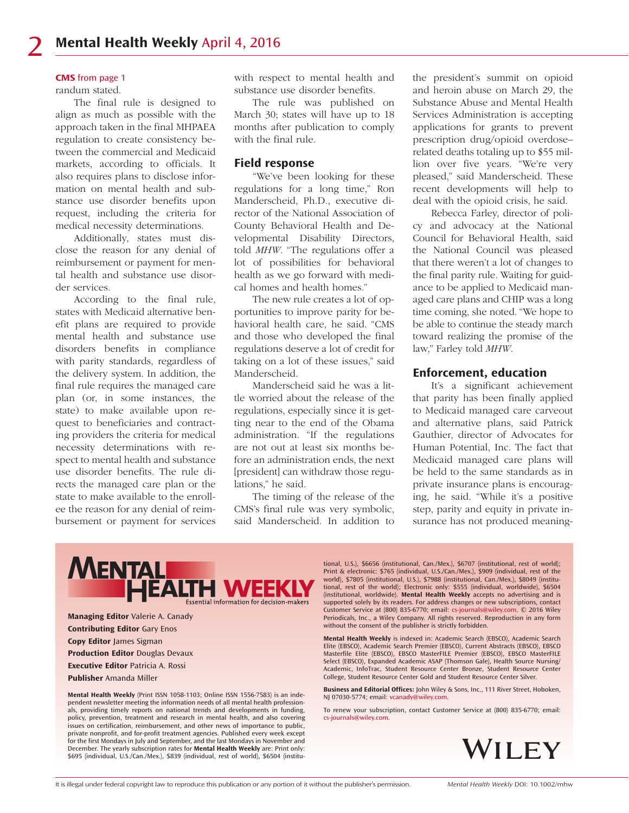randum stated.

The final rule is designed to align as much as possible with the approach taken in the final MHPAEA regulation to create consistency between the commercial and Medicaid markets, according to officials. It also requires plans to disclose information on mental health and substance use disorder benefits upon request, including the criteria for medical necessity determinations.

Additionally, states must disclose the reason for any denial of reimbursement or payment for mental health and substance use disorder services.

According to the final rule, states with Medicaid alternative benefit plans are required to provide mental health and substance use disorders benefits in compliance with parity standards, regardless of the delivery system. In addition, the final rule requires the managed care plan (or, in some instances, the state) to make available upon request to beneficiaries and contracting providers the criteria for medical necessity determinations with respect to mental health and substance use disorder benefits. The rule directs the managed care plan or the state to make available to the enrollee the reason for any denial of reimbursement or payment for services

**CMS** from page 1 with respect to mental health and substance use disorder benefits.

> The rule was published on March 30; states will have up to 18 months after publication to comply with the final rule.

#### **Field response**

"We've been looking for these regulations for a long time," Ron Manderscheid, Ph.D., executive director of the National Association of County Behavioral Health and Developmental Disability Directors, told *MHW*. "The regulations offer a lot of possibilities for behavioral health as we go forward with medical homes and health homes."

The new rule creates a lot of opportunities to improve parity for behavioral health care, he said. "CMS and those who developed the final regulations deserve a lot of credit for taking on a lot of these issues," said Manderscheid.

Manderscheid said he was a little worried about the release of the regulations, especially since it is getting near to the end of the Obama administration. "If the regulations are not out at least six months before an administration ends, the next [president] can withdraw those regulations," he said.

The timing of the release of the CMS's final rule was very symbolic, said Manderscheid. In addition to

the president's summit on opioid and heroin abuse on March 29, the Substance Abuse and Mental Health Services Administration is accepting applications for grants to prevent prescription drug/opioid overdose– related deaths totaling up to \$55 million over five years. "We're very pleased," said Manderscheid. These recent developments will help to deal with the opioid crisis, he said.

Rebecca Farley, director of policy and advocacy at the National Council for Behavioral Health, said the National Council was pleased that there weren't a lot of changes to the final parity rule. Waiting for guidance to be applied to Medicaid managed care plans and CHIP was a long time coming, she noted. "We hope to be able to continue the steady march toward realizing the promise of the law," Farley told *MHW*.

### **Enforcement, education**

It's a significant achievement that parity has been finally applied to Medicaid managed care carveout and alternative plans, said Patrick Gauthier, director of Advocates for Human Potential, Inc. The fact that Medicaid managed care plans will be held to the same standards as in private insurance plans is encouraging, he said. "While it's a positive step, parity and equity in private insurance has not produced meaning-



**Managing Editor** Valerie A. Canady **Contributing Editor** Gary Enos **Copy Editor** James Sigman **Production Editor** Douglas Devaux **Executive Editor** Patricia A. Rossi **Publisher** Amanda Miller

**Mental Health Weekly** (Print ISSN 1058-1103; Online ISSN 1556-7583) is an independent newsletter meeting the information needs of all mental health professionals, providing timely reports on national trends and developments in funding, policy, prevention, treatment and research in mental health, and also covering issues on certification, reimbursement, and other news of importance to public, private nonprofit, and for-profit treatment agencies. Published every week except for the first Mondays in July and September, and the last Mondays in November and December. The yearly subscription rates for **Mental Health Weekly** are: Print only: \$695 (individual, U.S./Can./Mex.), \$839 (individual, rest of world), \$6504 (institutional, U.S.), \$6656 (institutional, Can./Mex.), \$6707 (institutional, rest of world); Print & electronic: \$765 (individual, U.S./Can./Mex.), \$909 (individual, rest of the world), \$7805 (institutional, U.S.), \$7988 (institutional, Can./Mex.), \$8049 (institutional, rest of the world); Electronic only: \$555 (individual, worldwide), \$6504 (institutional, worldwide). **Mental Health Weekly** accepts no advertising and is supported solely by its readers. For address changes or new subscriptions, contact Customer Service at (800) 835-6770; email: cs-journals@wiley.com. © 2016 Wiley Periodicals, Inc., a Wiley Company. All rights reserved. Reproduction in any form without the consent of the publisher is strictly forbidden.

**Mental Health Weekly** is indexed in: Academic Search (EBSCO), Academic Search Elite (EBSCO), Academic Search Premier (EBSCO), Current Abstracts (EBSCO), EBSCO Masterfile Elite (EBSCO), EBSCO MasterFILE Premier (EBSCO), EBSCO MasterFILE Select (EBSCO), Expanded Academic ASAP (Thomson Gale), Health Source Nursing/ Academic, InfoTrac, Student Resource Center Bronze, Student Resource Center College, Student Resource Center Gold and Student Resource Center Silver.

**Business and Editorial Offices:** John Wiley & Sons, Inc., 111 River Street, Hoboken, NJ 07030-5774; email: vcanady@wiley.com.

To renew your subscription, contact Customer Service at (800) 835-6770; email: cs-journals@wiley.com.

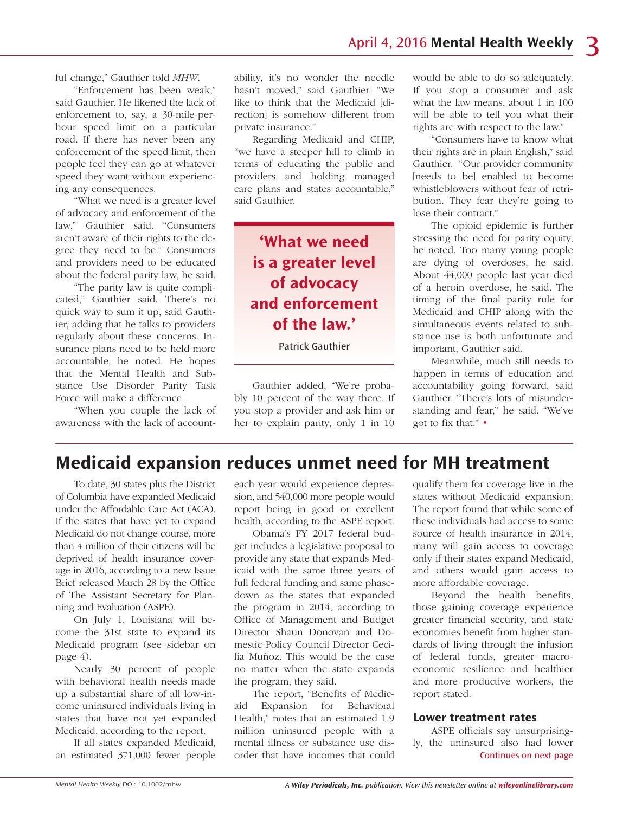ful change," Gauthier told *MHW*.

"Enforcement has been weak," said Gauthier. He likened the lack of enforcement to, say, a 30-mile-perhour speed limit on a particular road. If there has never been any enforcement of the speed limit, then people feel they can go at whatever speed they want without experiencing any consequences.

"What we need is a greater level of advocacy and enforcement of the law," Gauthier said. "Consumers aren't aware of their rights to the degree they need to be." Consumers and providers need to be educated about the federal parity law, he said.

"The parity law is quite complicated," Gauthier said. There's no quick way to sum it up, said Gauthier, adding that he talks to providers regularly about these concerns. Insurance plans need to be held more accountable, he noted. He hopes that the Mental Health and Substance Use Disorder Parity Task Force will make a difference.

"When you couple the lack of awareness with the lack of accountability, it's no wonder the needle hasn't moved," said Gauthier. "We like to think that the Medicaid [direction] is somehow different from private insurance."

Regarding Medicaid and CHIP, "we have a steeper hill to climb in terms of educating the public and providers and holding managed care plans and states accountable," said Gauthier.

**'What we need is a greater level of advocacy and enforcement of the law.'**

Patrick Gauthier

Gauthier added, "We're probably 10 percent of the way there. If you stop a provider and ask him or her to explain parity, only 1 in 10 would be able to do so adequately. If you stop a consumer and ask what the law means, about 1 in 100 will be able to tell you what their rights are with respect to the law."

"Consumers have to know what their rights are in plain English," said Gauthier. "Our provider community [needs to be] enabled to become whistleblowers without fear of retribution. They fear they're going to lose their contract."

The opioid epidemic is further stressing the need for parity equity, he noted. Too many young people are dying of overdoses, he said. About 44,000 people last year died of a heroin overdose, he said. The timing of the final parity rule for Medicaid and CHIP along with the simultaneous events related to substance use is both unfortunate and important, Gauthier said.

Meanwhile, much still needs to happen in terms of education and accountability going forward, said Gauthier. "There's lots of misunderstanding and fear," he said. "We've got to fix that." •

### **Medicaid expansion reduces unmet need for MH treatment**

To date, 30 states plus the District of Columbia have expanded Medicaid under the Affordable Care Act (ACA). If the states that have yet to expand Medicaid do not change course, more than 4 million of their citizens will be deprived of health insurance coverage in 2016, according to a new Issue Brief released March 28 by the Office of The Assistant Secretary for Planning and Evaluation (ASPE).

On July 1, Louisiana will become the 31st state to expand its Medicaid program (see sidebar on page 4).

Nearly 30 percent of people with behavioral health needs made up a substantial share of all low-income uninsured individuals living in states that have not yet expanded Medicaid, according to the report.

If all states expanded Medicaid, an estimated 371,000 fewer people

each year would experience depression, and 540,000 more people would report being in good or excellent health, according to the ASPE report.

Obama's FY 2017 federal budget includes a legislative proposal to provide any state that expands Medicaid with the same three years of full federal funding and same phasedown as the states that expanded the program in 2014, according to Office of Management and Budget Director Shaun Donovan and Domestic Policy Council Director Cecilia Muñoz. This would be the case no matter when the state expands the program, they said.

The report, "Benefits of Medicaid Expansion for Behavioral Health," notes that an estimated 1.9 million uninsured people with a mental illness or substance use disorder that have incomes that could

qualify them for coverage live in the states without Medicaid expansion. The report found that while some of these individuals had access to some source of health insurance in 2014, many will gain access to coverage only if their states expand Medicaid, and others would gain access to more affordable coverage.

Beyond the health benefits, those gaining coverage experience greater financial security, and state economies benefit from higher standards of living through the infusion of federal funds, greater macroeconomic resilience and healthier and more productive workers, the report stated.

### **Lower treatment rates**

Continues on next page ASPE officials say unsurprisingly, the uninsured also had lower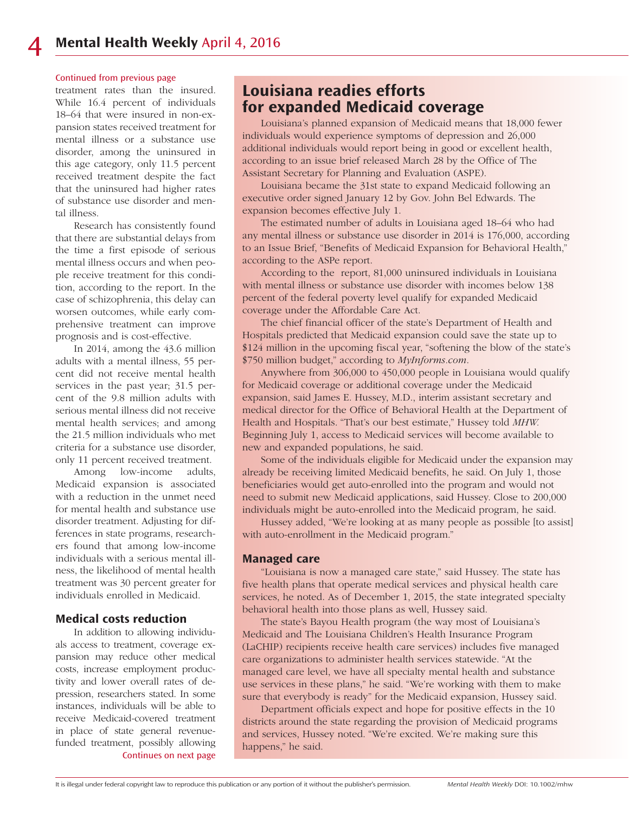treatment rates than the insured. While 16.4 percent of individuals 18–64 that were insured in non-expansion states received treatment for mental illness or a substance use disorder, among the uninsured in this age category, only 11.5 percent received treatment despite the fact that the uninsured had higher rates of substance use disorder and mental illness.

Research has consistently found that there are substantial delays from the time a first episode of serious mental illness occurs and when people receive treatment for this condition, according to the report. In the case of schizophrenia, this delay can worsen outcomes, while early comprehensive treatment can improve prognosis and is cost-effective.

In 2014, among the 43.6 million adults with a mental illness, 55 percent did not receive mental health services in the past year; 31.5 percent of the 9.8 million adults with serious mental illness did not receive mental health services; and among the 21.5 million individuals who met criteria for a substance use disorder, only 11 percent received treatment.

Among low-income adults, Medicaid expansion is associated with a reduction in the unmet need for mental health and substance use disorder treatment. Adjusting for differences in state programs, researchers found that among low-income individuals with a serious mental illness, the likelihood of mental health treatment was 30 percent greater for individuals enrolled in Medicaid.

### **Medical costs reduction**

In addition to allowing individuals access to treatment, coverage expansion may reduce other medical costs, increase employment productivity and lower overall rates of depression, researchers stated. In some instances, individuals will be able to receive Medicaid-covered treatment in place of state general revenuefunded treatment, possibly allowing happens," he said. Continues on next page

### **Louisiana readies efforts for expanded Medicaid coverage**

Louisiana's planned expansion of Medicaid means that 18,000 fewer individuals would experience symptoms of depression and 26,000 additional individuals would report being in good or excellent health, according to an issue brief released March 28 by the Office of The Assistant Secretary for Planning and Evaluation (ASPE).

Louisiana became the 31st state to expand Medicaid following an executive order signed January 12 by Gov. John Bel Edwards. The expansion becomes effective July 1.

The estimated number of adults in Louisiana aged 18–64 who had any mental illness or substance use disorder in 2014 is 176,000, according to an Issue Brief, "Benefits of Medicaid Expansion for Behavioral Health," according to the ASPe report.

According to the report, 81,000 uninsured individuals in Louisiana with mental illness or substance use disorder with incomes below 138 percent of the federal poverty level qualify for expanded Medicaid coverage under the Affordable Care Act.

The chief financial officer of the state's Department of Health and Hospitals predicted that Medicaid expansion could save the state up to \$124 million in the upcoming fiscal year, "softening the blow of the state's \$750 million budget," according to *MyInforms.com*.

Anywhere from 306,000 to 450,000 people in Louisiana would qualify for Medicaid coverage or additional coverage under the Medicaid expansion, said James E. Hussey, M.D., interim assistant secretary and medical director for the Office of Behavioral Health at the Department of Health and Hospitals. "That's our best estimate," Hussey told *MHW.* Beginning July 1, access to Medicaid services will become available to new and expanded populations, he said.

Some of the individuals eligible for Medicaid under the expansion may already be receiving limited Medicaid benefits, he said. On July 1, those beneficiaries would get auto-enrolled into the program and would not need to submit new Medicaid applications, said Hussey. Close to 200,000 individuals might be auto-enrolled into the Medicaid program, he said.

Hussey added, "We're looking at as many people as possible [to assist] with auto-enrollment in the Medicaid program."

#### **Managed care**

"Louisiana is now a managed care state," said Hussey. The state has five health plans that operate medical services and physical health care services, he noted. As of December 1, 2015, the state integrated specialty behavioral health into those plans as well, Hussey said.

The state's Bayou Health program (the way most of Louisiana's Medicaid and The Louisiana Children's Health Insurance Program (LaCHIP) recipients receive health care services) includes five managed care organizations to administer health services statewide. "At the managed care level, we have all specialty mental health and substance use services in these plans," he said. "We're working with them to make sure that everybody is ready" for the Medicaid expansion, Hussey said.

Department officials expect and hope for positive effects in the 10 districts around the state regarding the provision of Medicaid programs and services, Hussey noted. "We're excited. We're making sure this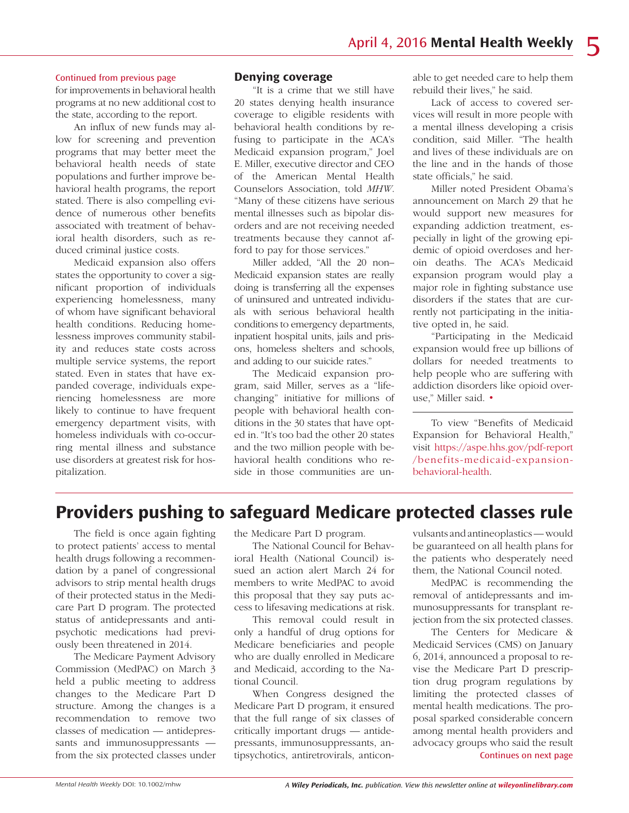for improvements in behavioral health programs at no new additional cost to the state, according to the report.

An influx of new funds may allow for screening and prevention programs that may better meet the behavioral health needs of state populations and further improve behavioral health programs, the report stated. There is also compelling evidence of numerous other benefits associated with treatment of behavioral health disorders, such as reduced criminal justice costs.

Medicaid expansion also offers states the opportunity to cover a significant proportion of individuals experiencing homelessness, many of whom have significant behavioral health conditions. Reducing homelessness improves community stability and reduces state costs across multiple service systems, the report stated. Even in states that have expanded coverage, individuals experiencing homelessness are more likely to continue to have frequent emergency department visits, with homeless individuals with co-occurring mental illness and substance use disorders at greatest risk for hospitalization.

### **Denying coverage**

"It is a crime that we still have 20 states denying health insurance coverage to eligible residents with behavioral health conditions by refusing to participate in the ACA's Medicaid expansion program," Joel E. Miller, executive director and CEO of the American Mental Health Counselors Association, told *MHW*. "Many of these citizens have serious mental illnesses such as bipolar disorders and are not receiving needed treatments because they cannot afford to pay for those services."

Miller added, "All the 20 non– Medicaid expansion states are really doing is transferring all the expenses of uninsured and untreated individuals with serious behavioral health conditions to emergency departments, inpatient hospital units, jails and prisons, homeless shelters and schools, and adding to our suicide rates."

The Medicaid expansion program, said Miller, serves as a "lifechanging" initiative for millions of people with behavioral health conditions in the 30 states that have opted in. "It's too bad the other 20 states and the two million people with behavioral health conditions who reside in those communities are unable to get needed care to help them rebuild their lives," he said.

Lack of access to covered services will result in more people with a mental illness developing a crisis condition, said Miller. "The health and lives of these individuals are on the line and in the hands of those state officials," he said.

Miller noted President Obama's announcement on March 29 that he would support new measures for expanding addiction treatment, especially in light of the growing epidemic of opioid overdoses and heroin deaths. The ACA's Medicaid expansion program would play a major role in fighting substance use disorders if the states that are currently not participating in the initiative opted in, he said.

"Participating in the Medicaid expansion would free up billions of dollars for needed treatments to help people who are suffering with addiction disorders like opioid overuse," Miller said. •

To view "Benefits of Medicaid Expansion for Behavioral Health," visit [https://aspe.hhs.gov/pdf-report](https://aspe.hhs.gov/pdf-report/benefits-medicaid-expansion-behavioral-health) [/benefits-medicaid-expansion](https://aspe.hhs.gov/pdf-report/benefits-medicaid-expansion-behavioral-health)[behavioral-health](https://aspe.hhs.gov/pdf-report/benefits-medicaid-expansion-behavioral-health).

### **Providers pushing to safeguard Medicare protected classes rule**

The field is once again fighting to protect patients' access to mental health drugs following a recommendation by a panel of congressional advisors to strip mental health drugs of their protected status in the Medicare Part D program. The protected status of antidepressants and antipsychotic medications had previously been threatened in 2014.

The Medicare Payment Advisory Commission (MedPAC) on March 3 held a public meeting to address changes to the Medicare Part D structure. Among the changes is a recommendation to remove two classes of medication — antidepressants and immunosuppressants from the six protected classes under

the Medicare Part D program.

The National Council for Behavioral Health (National Council) issued an action alert March 24 for members to write MedPAC to avoid this proposal that they say puts access to lifesaving medications at risk.

This removal could result in only a handful of drug options for Medicare beneficiaries and people who are dually enrolled in Medicare and Medicaid, according to the National Council.

When Congress designed the Medicare Part D program, it ensured that the full range of six classes of critically important drugs — antidepressants, immunosuppressants, antipsychotics, antiretrovirals, anticonvulsants and antineoplastics — would be guaranteed on all health plans for the patients who desperately need them, the National Council noted.

MedPAC is recommending the removal of antidepressants and immunosuppressants for transplant rejection from the six protected classes.

Continues on next page The Centers for Medicare & Medicaid Services (CMS) on January 6, 2014, announced a proposal to revise the Medicare Part D prescription drug program regulations by limiting the protected classes of mental health medications. The proposal sparked considerable concern among mental health providers and advocacy groups who said the result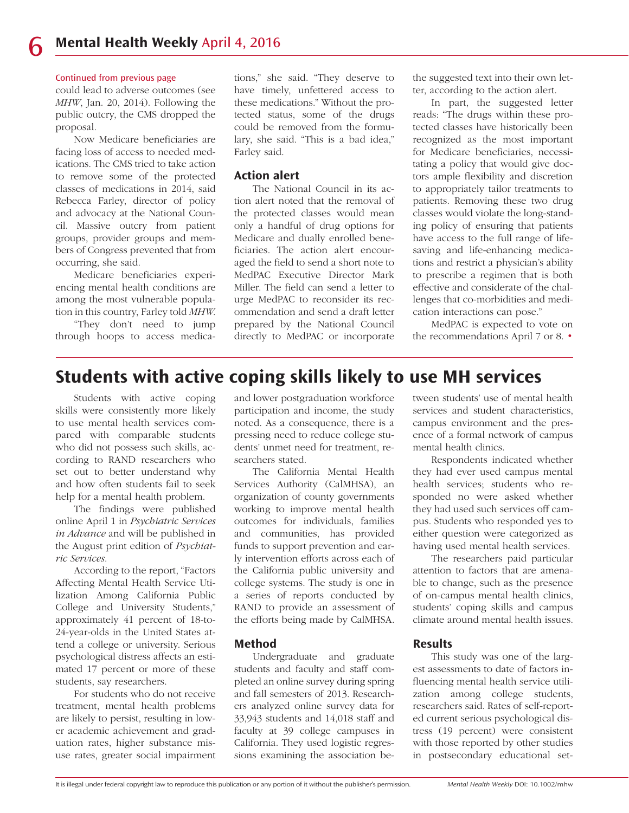could lead to adverse outcomes (see *MHW*, Jan. 20, 2014). Following the public outcry, the CMS dropped the proposal.

Now Medicare beneficiaries are facing loss of access to needed medications. The CMS tried to take action to remove some of the protected classes of medications in 2014, said Rebecca Farley, director of policy and advocacy at the National Council. Massive outcry from patient groups, provider groups and members of Congress prevented that from occurring, she said.

Medicare beneficiaries experiencing mental health conditions are among the most vulnerable population in this country, Farley told *MHW.*

"They don't need to jump through hoops to access medications," she said. "They deserve to have timely, unfettered access to these medications." Without the protected status, some of the drugs could be removed from the formulary, she said. "This is a bad idea," Farley said.

#### **Action alert**

The National Council in its action alert noted that the removal of the protected classes would mean only a handful of drug options for Medicare and dually enrolled beneficiaries. The action alert encouraged the field to send a short note to MedPAC Executive Director Mark Miller. The field can send a letter to urge MedPAC to reconsider its recommendation and send a draft letter prepared by the National Council directly to MedPAC or incorporate the suggested text into their own letter, according to the action alert.

In part, the suggested letter reads: "The drugs within these protected classes have historically been recognized as the most important for Medicare beneficiaries, necessitating a policy that would give doctors ample flexibility and discretion to appropriately tailor treatments to patients. Removing these two drug classes would violate the long-standing policy of ensuring that patients have access to the full range of lifesaving and life-enhancing medications and restrict a physician's ability to prescribe a regimen that is both effective and considerate of the challenges that co-morbidities and medication interactions can pose."

MedPAC is expected to vote on the recommendations April 7 or 8. •

## **Students with active coping skills likely to use MH services**

Students with active coping skills were consistently more likely to use mental health services compared with comparable students who did not possess such skills, according to RAND researchers who set out to better understand why and how often students fail to seek help for a mental health problem.

The findings were published online April 1 in *Psychiatric Services in Advance* and will be published in the August print edition of *Psychiatric Services*.

According to the report, "Factors Affecting Mental Health Service Utilization Among California Public College and University Students," approximately 41 percent of 18-to-24-year-olds in the United States attend a college or university. Serious psychological distress affects an estimated 17 percent or more of these students, say researchers.

For students who do not receive treatment, mental health problems are likely to persist, resulting in lower academic achievement and graduation rates, higher substance misuse rates, greater social impairment

and lower postgraduation workforce participation and income, the study noted. As a consequence, there is a pressing need to reduce college students' unmet need for treatment, researchers stated.

The California Mental Health Services Authority (CalMHSA), an organization of county governments working to improve mental health outcomes for individuals, families and communities, has provided funds to support prevention and early intervention efforts across each of the California public university and college systems. The study is one in a series of reports conducted by RAND to provide an assessment of the efforts being made by CalMHSA.

#### **Method**

Undergraduate and graduate students and faculty and staff completed an online survey during spring and fall semesters of 2013. Researchers analyzed online survey data for 33,943 students and 14,018 staff and faculty at 39 college campuses in California. They used logistic regressions examining the association between students' use of mental health services and student characteristics, campus environment and the presence of a formal network of campus mental health clinics.

Respondents indicated whether they had ever used campus mental health services; students who responded no were asked whether they had used such services off campus. Students who responded yes to either question were categorized as having used mental health services.

The researchers paid particular attention to factors that are amenable to change, such as the presence of on-campus mental health clinics, students' coping skills and campus climate around mental health issues.

### **Results**

This study was one of the largest assessments to date of factors influencing mental health service utilization among college students, researchers said. Rates of self-reported current serious psychological distress (19 percent) were consistent with those reported by other studies in postsecondary educational set-

It is illegal under federal copyright law to reproduce this publication or any portion of it without the publisher's permission. *Mental Health Weekly* DOI: 10.1002/mhw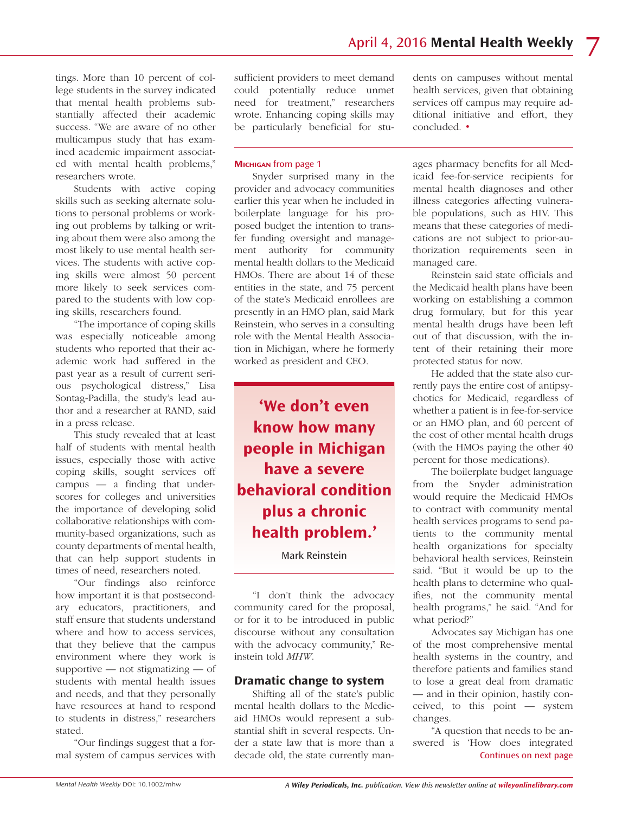tings. More than 10 percent of college students in the survey indicated that mental health problems substantially affected their academic success. "We are aware of no other multicampus study that has examined academic impairment associated with mental health problems," researchers wrote.

Students with active coping skills such as seeking alternate solutions to personal problems or working out problems by talking or writing about them were also among the most likely to use mental health services. The students with active coping skills were almost 50 percent more likely to seek services compared to the students with low coping skills, researchers found.

"The importance of coping skills was especially noticeable among students who reported that their academic work had suffered in the past year as a result of current serious psychological distress," Lisa Sontag-Padilla, the study's lead author and a researcher at RAND, said in a press release.

This study revealed that at least half of students with mental health issues, especially those with active coping skills, sought services off campus — a finding that underscores for colleges and universities the importance of developing solid collaborative relationships with community-based organizations, such as county departments of mental health, that can help support students in times of need, researchers noted.

"Our findings also reinforce how important it is that postsecondary educators, practitioners, and staff ensure that students understand where and how to access services, that they believe that the campus environment where they work is supportive — not stigmatizing — of students with mental health issues and needs, and that they personally have resources at hand to respond to students in distress," researchers stated.

"Our findings suggest that a formal system of campus services with

sufficient providers to meet demand could potentially reduce unmet need for treatment," researchers wrote. Enhancing coping skills may be particularly beneficial for students on campuses without mental health services, given that obtaining services off campus may require additional initiative and effort, they concluded. •

### **Michigan** from page 1

Snyder surprised many in the provider and advocacy communities earlier this year when he included in boilerplate language for his proposed budget the intention to transfer funding oversight and management authority for community mental health dollars to the Medicaid HMOs. There are about 14 of these entities in the state, and 75 percent of the state's Medicaid enrollees are presently in an HMO plan, said Mark Reinstein, who serves in a consulting role with the Mental Health Association in Michigan, where he formerly worked as president and CEO.

**'We don't even know how many people in Michigan have a severe behavioral condition plus a chronic health problem.'**

#### Mark Reinstein

"I don't think the advocacy community cared for the proposal, or for it to be introduced in public discourse without any consultation with the advocacy community," Reinstein told *MHW*.

### **Dramatic change to system**

Shifting all of the state's public mental health dollars to the Medicaid HMOs would represent a substantial shift in several respects. Under a state law that is more than a decade old, the state currently man-

ages pharmacy benefits for all Medicaid fee-for-service recipients for mental health diagnoses and other illness categories affecting vulnerable populations, such as HIV. This means that these categories of medications are not subject to prior-authorization requirements seen in managed care.

Reinstein said state officials and the Medicaid health plans have been working on establishing a common drug formulary, but for this year mental health drugs have been left out of that discussion, with the intent of their retaining their more protected status for now.

He added that the state also currently pays the entire cost of antipsychotics for Medicaid, regardless of whether a patient is in fee-for-service or an HMO plan, and 60 percent of the cost of other mental health drugs (with the HMOs paying the other 40 percent for those medications).

The boilerplate budget language from the Snyder administration would require the Medicaid HMOs to contract with community mental health services programs to send patients to the community mental health organizations for specialty behavioral health services, Reinstein said. "But it would be up to the health plans to determine who qualifies, not the community mental health programs," he said. "And for what period?"

Advocates say Michigan has one of the most comprehensive mental health systems in the country, and therefore patients and families stand to lose a great deal from dramatic — and in their opinion, hastily conceived, to this point — system changes.

Continues on next page "A question that needs to be answered is 'How does integrated